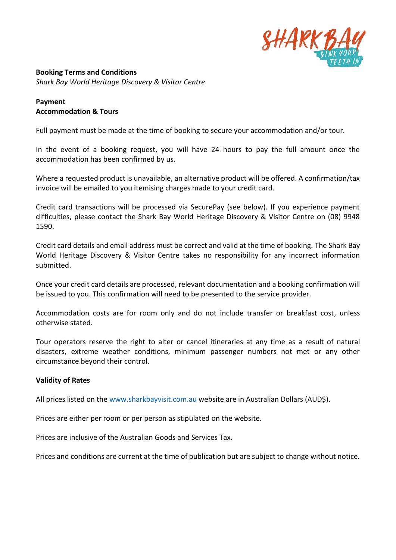

**Booking Terms and Conditions** *Shark Bay World Heritage Discovery & Visitor Centre* 

# **Payment Accommodation & Tours**

Full payment must be made at the time of booking to secure your accommodation and/or tour.

In the event of a booking request, you will have 24 hours to pay the full amount once the accommodation has been confirmed by us.

Where a requested product is unavailable, an alternative product will be offered. A confirmation/tax invoice will be emailed to you itemising charges made to your credit card.

Credit card transactions will be processed via SecurePay (see below). If you experience payment difficulties, please contact the Shark Bay World Heritage Discovery & Visitor Centre on (08) 9948 1590.

Credit card details and email address must be correct and valid at the time of booking. The Shark Bay World Heritage Discovery & Visitor Centre takes no responsibility for any incorrect information submitted.

Once your credit card details are processed, relevant documentation and a booking confirmation will be issued to you. This confirmation will need to be presented to the service provider.

Accommodation costs are for room only and do not include transfer or breakfast cost, unless otherwise stated.

Tour operators reserve the right to alter or cancel itineraries at any time as a result of natural disasters, extreme weather conditions, minimum passenger numbers not met or any other circumstance beyond their control.

# **Validity of Rates**

All prices listed on the [www.sharkbayvisit.com.au](http://www.sharkbayvisit.com.au/) website are in Australian Dollars (AUD\$).

Prices are either per room or per person as stipulated on the website.

Prices are inclusive of the Australian Goods and Services Tax.

Prices and conditions are current at the time of publication but are subject to change without notice.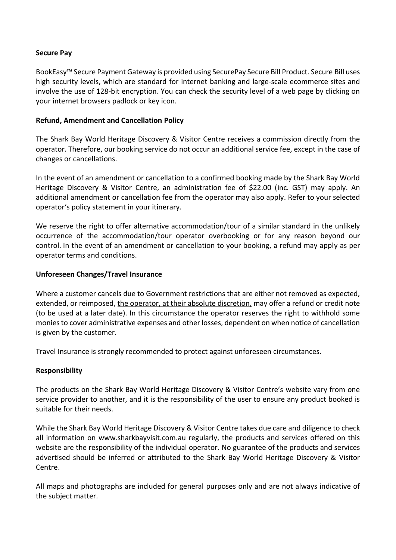### **Secure Pay**

BookEasy™ Secure Payment Gateway is provided using SecurePay Secure Bill Product. Secure Bill uses high security levels, which are standard for internet banking and large-scale ecommerce sites and involve the use of 128-bit encryption. You can check the security level of a web page by clicking on your internet browsers padlock or key icon.

### **Refund, Amendment and Cancellation Policy**

The Shark Bay World Heritage Discovery & Visitor Centre receives a commission directly from the operator. Therefore, our booking service do not occur an additional service fee, except in the case of changes or cancellations.

In the event of an amendment or cancellation to a confirmed booking made by the Shark Bay World Heritage Discovery & Visitor Centre, an administration fee of \$22.00 (inc. GST) may apply. An additional amendment or cancellation fee from the operator may also apply. Refer to your selected operator's policy statement in your itinerary.

We reserve the right to offer alternative accommodation/tour of a similar standard in the unlikely occurrence of the accommodation/tour operator overbooking or for any reason beyond our control. In the event of an amendment or cancellation to your booking, a refund may apply as per operator terms and conditions.

### **Unforeseen Changes/Travel Insurance**

Where a customer cancels due to Government restrictions that are either not removed as expected, extended, or reimposed, the operator, at their absolute discretion, may offer a refund or credit note (to be used at a later date). In this circumstance the operator reserves the right to withhold some monies to cover administrative expenses and other losses, dependent on when notice of cancellation is given by the customer.

Travel Insurance is strongly recommended to protect against unforeseen circumstances.

# **Responsibility**

The products on the Shark Bay World Heritage Discovery & Visitor Centre's website vary from one service provider to another, and it is the responsibility of the user to ensure any product booked is suitable for their needs.

While the Shark Bay World Heritage Discovery & Visitor Centre takes due care and diligence to check all information on [www.sharkbayvisit.com.au](http://www.sharkbayvisit.com.au/) regularly, the products and services offered on this website are the responsibility of the individual operator. No guarantee of the products and services advertised should be inferred or attributed to the Shark Bay World Heritage Discovery & Visitor Centre.

All maps and photographs are included for general purposes only and are not always indicative of the subject matter.